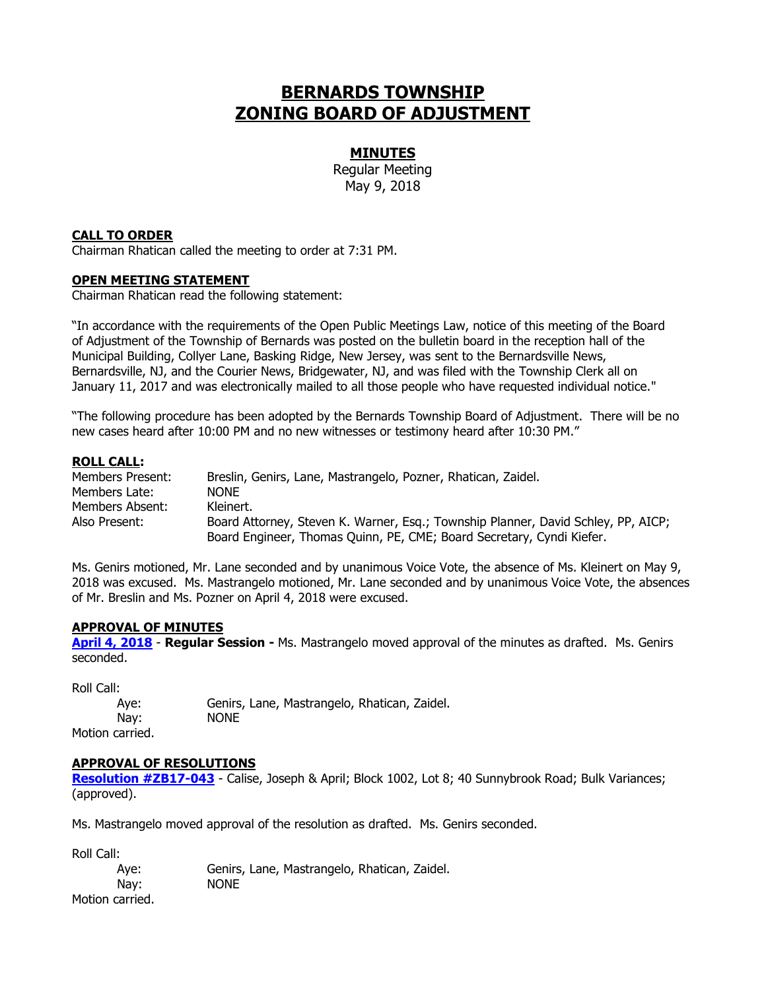# **BERNARDS TOWNSHIP ZONING BOARD OF ADJUSTMENT**

### **MINUTES**

Regular Meeting May 9, 2018

#### **CALL TO ORDER**

Chairman Rhatican called the meeting to order at 7:31 PM.

#### **OPEN MEETING STATEMENT**

Chairman Rhatican read the following statement:

"In accordance with the requirements of the Open Public Meetings Law, notice of this meeting of the Board of Adjustment of the Township of Bernards was posted on the bulletin board in the reception hall of the Municipal Building, Collyer Lane, Basking Ridge, New Jersey, was sent to the Bernardsville News, Bernardsville, NJ, and the Courier News, Bridgewater, NJ, and was filed with the Township Clerk all on January 11, 2017 and was electronically mailed to all those people who have requested individual notice."

"The following procedure has been adopted by the Bernards Township Board of Adjustment. There will be no new cases heard after 10:00 PM and no new witnesses or testimony heard after 10:30 PM."

#### **ROLL CALL:**

| Members Present: | Breslin, Genirs, Lane, Mastrangelo, Pozner, Rhatican, Zaidel.                     |
|------------------|-----------------------------------------------------------------------------------|
| Members Late:    | <b>NONE</b>                                                                       |
| Members Absent:  | Kleinert.                                                                         |
| Also Present:    | Board Attorney, Steven K. Warner, Esq.; Township Planner, David Schley, PP, AICP; |
|                  | Board Engineer, Thomas Quinn, PE, CME; Board Secretary, Cyndi Kiefer.             |

Ms. Genirs motioned, Mr. Lane seconded and by unanimous Voice Vote, the absence of Ms. Kleinert on May 9, 2018 was excused. Ms. Mastrangelo motioned, Mr. Lane seconded and by unanimous Voice Vote, the absences of Mr. Breslin and Ms. Pozner on April 4, 2018 were excused.

#### **APPROVAL OF MINUTES**

**[April 4, 2018](http://www.bernards.org/Board%20Of%20Adjustment/Minutes/2018/m04042918%20reg.pdf)** - **Regular Session -** Ms. Mastrangelo moved approval of the minutes as drafted. Ms. Genirs seconded.

Roll Call: Aye: Genirs, Lane, Mastrangelo, Rhatican, Zaidel. Nay: NONE Motion carried.

#### **APPROVAL OF RESOLUTIONS**

[Resolution #ZB17-043](http://www.bernards.org/Board%20Of%20Adjustment/Resolutions/2018/ZB17-043%20Calise%2040%20Sunnybrook.pdf) - Calise, Joseph & April; Block 1002, Lot 8; 40 Sunnybrook Road; Bulk Variances; (approved).

Ms. Mastrangelo moved approval of the resolution as drafted. Ms. Genirs seconded.

Roll Call:

Aye: Genirs, Lane, Mastrangelo, Rhatican, Zaidel. Nay: NONE Motion carried.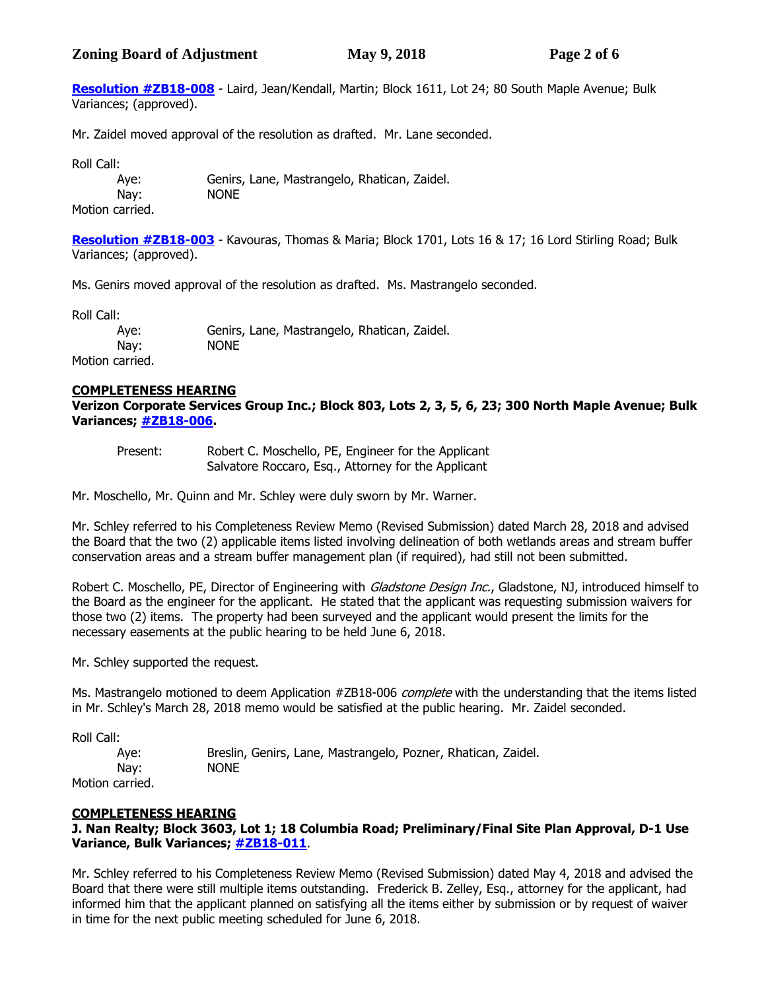# **Zoning Board of Adjustment May 9, 2018 Page 2 of 6**

**[Resolution #ZB18-008](http://www.bernards.org/Board%20Of%20Adjustment/Resolutions/2018/ZB18-004%20Laird%20Kendall%2080%20South%20Maple.pdf)** - Laird, Jean/Kendall, Martin; Block 1611, Lot 24; 80 South Maple Avenue; Bulk Variances; (approved).

Mr. Zaidel moved approval of the resolution as drafted. Mr. Lane seconded.

Roll Call:

Aye: Genirs, Lane, Mastrangelo, Rhatican, Zaidel. Nay: NONE

Motion carried.

**[Resolution #ZB18-003](http://www.bernards.org/Board%20Of%20Adjustment/Resolutions/2018/ZB18-003%20Kavouras%2016%20Lord%20Stirling.pdf)** - Kavouras, Thomas & Maria; Block 1701, Lots 16 & 17; 16 Lord Stirling Road; Bulk Variances; (approved).

Ms. Genirs moved approval of the resolution as drafted. Ms. Mastrangelo seconded.

Roll Call:

Aye: Genirs, Lane, Mastrangelo, Rhatican, Zaidel. Nay: NONE

Motion carried.

## **COMPLETENESS HEARING**

**Verizon Corporate Services Group Inc.; Block 803, Lots 2, 3, 5, 6, 23; 300 North Maple Avenue; Bulk Variances; [#ZB18-006.](http://www.bernards.org/Board%20Of%20Adjustment/Applications/2018/ZB18-006%20Verizon%20Signs.pdf)**

Present: Robert C. Moschello, PE, Engineer for the Applicant Salvatore Roccaro, Esq., Attorney for the Applicant

Mr. Moschello, Mr. Quinn and Mr. Schley were duly sworn by Mr. Warner.

Mr. Schley referred to his Completeness Review Memo (Revised Submission) dated March 28, 2018 and advised the Board that the two (2) applicable items listed involving delineation of both wetlands areas and stream buffer conservation areas and a stream buffer management plan (if required), had still not been submitted.

Robert C. Moschello, PE, Director of Engineering with *Gladstone Design Inc.*, Gladstone, NJ, introduced himself to the Board as the engineer for the applicant. He stated that the applicant was requesting submission waivers for those two (2) items. The property had been surveyed and the applicant would present the limits for the necessary easements at the public hearing to be held June 6, 2018.

Mr. Schley supported the request.

Ms. Mastrangelo motioned to deem Application #ZB18-006 complete with the understanding that the items listed in Mr. Schley's March 28, 2018 memo would be satisfied at the public hearing. Mr. Zaidel seconded.

Roll Call:

Aye: Breslin, Genirs, Lane, Mastrangelo, Pozner, Rhatican, Zaidel. Nay: NONE Motion carried.

## **COMPLETENESS HEARING**

**J. Nan Realty; Block 3603, Lot 1; 18 Columbia Road; Preliminary/Final Site Plan Approval, D-1 Use Variance, Bulk Variances; [#ZB18-011](http://www.bernards.org/Board%20Of%20Adjustment/Applications/2018/ZB18-011%20J%20Nan.pdf)**.

Mr. Schley referred to his Completeness Review Memo (Revised Submission) dated May 4, 2018 and advised the Board that there were still multiple items outstanding. Frederick B. Zelley, Esq., attorney for the applicant, had informed him that the applicant planned on satisfying all the items either by submission or by request of waiver in time for the next public meeting scheduled for June 6, 2018.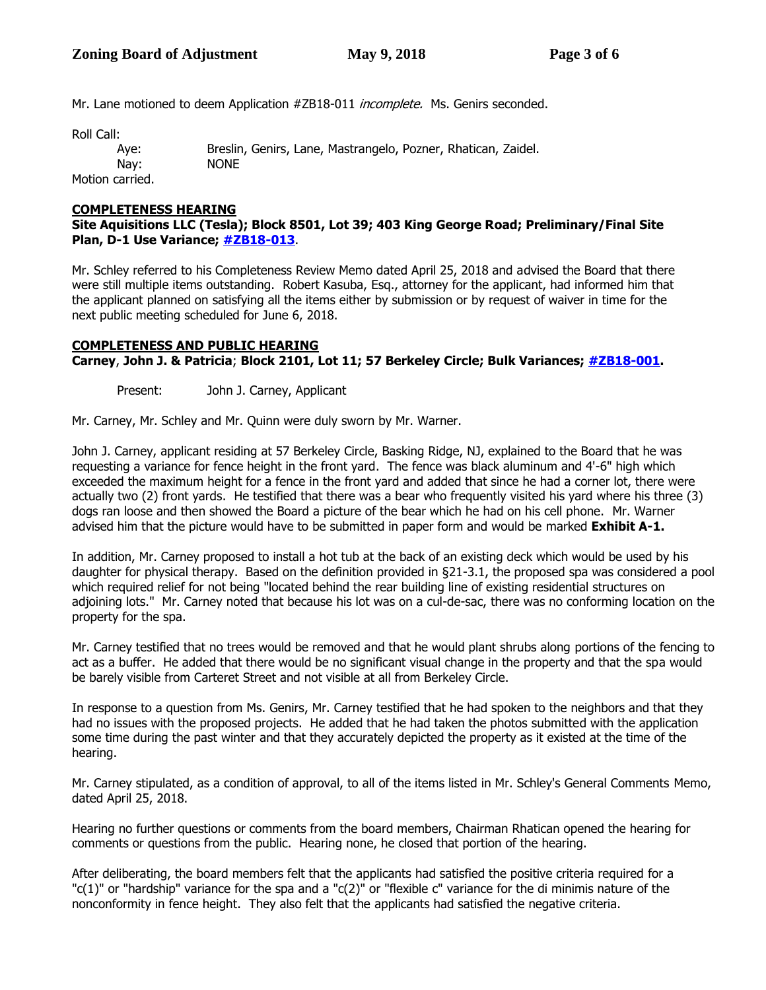Mr. Lane motioned to deem Application #ZB18-011 *incomplete.* Ms. Genirs seconded.

Roll Call:

Motion carried.

Aye: Breslin, Genirs, Lane, Mastrangelo, Pozner, Rhatican, Zaidel. Nay: NONE

# **COMPLETENESS HEARING**

## **Site Aquisitions LLC (Tesla); Block 8501, Lot 39; 403 King George Road; Preliminary/Final Site Plan, D-1 Use Variance; [#ZB18-013](http://www.bernards.org/Board%20Of%20Adjustment/Applications/2018/ZB18-013%20Site%20Aquisitions%20LLC%20Tesla.pdf)**.

Mr. Schley referred to his Completeness Review Memo dated April 25, 2018 and advised the Board that there were still multiple items outstanding. Robert Kasuba, Esq., attorney for the applicant, had informed him that the applicant planned on satisfying all the items either by submission or by request of waiver in time for the next public meeting scheduled for June 6, 2018.

# **COMPLETENESS AND PUBLIC HEARING**

**Carney**, **John J. & Patricia**; **Block 2101, Lot 11; 57 Berkeley Circle; Bulk Variances; [#ZB18-001.](http://www.bernards.org/Board%20Of%20Adjustment/Applications/2018/ZB18-001%20Carney.pdf)**

Present: John J. Carney, Applicant

Mr. Carney, Mr. Schley and Mr. Quinn were duly sworn by Mr. Warner.

John J. Carney, applicant residing at 57 Berkeley Circle, Basking Ridge, NJ, explained to the Board that he was requesting a variance for fence height in the front yard. The fence was black aluminum and 4'-6" high which exceeded the maximum height for a fence in the front yard and added that since he had a corner lot, there were actually two (2) front yards. He testified that there was a bear who frequently visited his yard where his three (3) dogs ran loose and then showed the Board a picture of the bear which he had on his cell phone. Mr. Warner advised him that the picture would have to be submitted in paper form and would be marked **Exhibit A-1.** 

In addition, Mr. Carney proposed to install a hot tub at the back of an existing deck which would be used by his daughter for physical therapy. Based on the definition provided in §21-3.1, the proposed spa was considered a pool which required relief for not being "located behind the rear building line of existing residential structures on adjoining lots." Mr. Carney noted that because his lot was on a cul-de-sac, there was no conforming location on the property for the spa.

Mr. Carney testified that no trees would be removed and that he would plant shrubs along portions of the fencing to act as a buffer. He added that there would be no significant visual change in the property and that the spa would be barely visible from Carteret Street and not visible at all from Berkeley Circle.

In response to a question from Ms. Genirs, Mr. Carney testified that he had spoken to the neighbors and that they had no issues with the proposed projects. He added that he had taken the photos submitted with the application some time during the past winter and that they accurately depicted the property as it existed at the time of the hearing.

Mr. Carney stipulated, as a condition of approval, to all of the items listed in Mr. Schley's General Comments Memo, dated April 25, 2018.

Hearing no further questions or comments from the board members, Chairman Rhatican opened the hearing for comments or questions from the public. Hearing none, he closed that portion of the hearing.

After deliberating, the board members felt that the applicants had satisfied the positive criteria required for a "c(1)" or "hardship" variance for the spa and a "c(2)" or "flexible c" variance for the di minimis nature of the nonconformity in fence height. They also felt that the applicants had satisfied the negative criteria.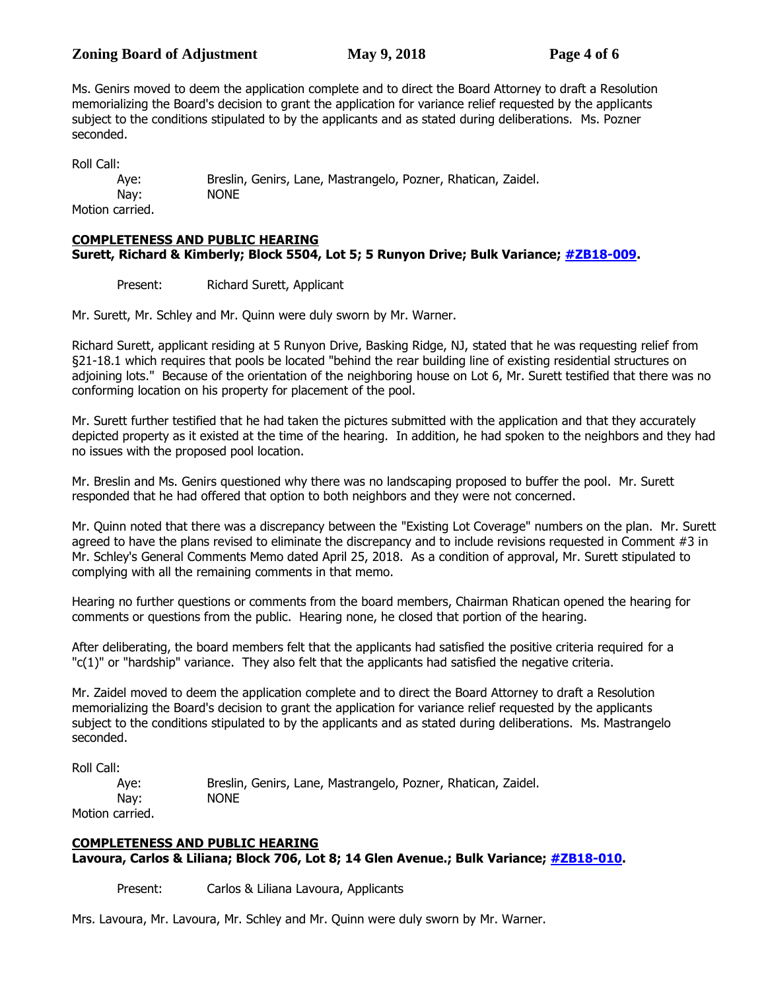# **Zoning Board of Adjustment** May 9, 2018 **Page 4** of 6

Ms. Genirs moved to deem the application complete and to direct the Board Attorney to draft a Resolution memorializing the Board's decision to grant the application for variance relief requested by the applicants subject to the conditions stipulated to by the applicants and as stated during deliberations. Ms. Pozner seconded.

Roll Call:

Aye: Breslin, Genirs, Lane, Mastrangelo, Pozner, Rhatican, Zaidel. Nay: NONE Motion carried.

**COMPLETENESS AND PUBLIC HEARING**

**Surett, Richard & Kimberly; Block 5504, Lot 5; 5 Runyon Drive; Bulk Variance; [#ZB18-009.](http://www.bernards.org/Board%20Of%20Adjustment/Applications/2018/ZB18-009%20Surett.pdf)**

Present: Richard Surett, Applicant

Mr. Surett, Mr. Schley and Mr. Quinn were duly sworn by Mr. Warner.

Richard Surett, applicant residing at 5 Runyon Drive, Basking Ridge, NJ, stated that he was requesting relief from §21-18.1 which requires that pools be located "behind the rear building line of existing residential structures on adjoining lots." Because of the orientation of the neighboring house on Lot 6, Mr. Surett testified that there was no conforming location on his property for placement of the pool.

Mr. Surett further testified that he had taken the pictures submitted with the application and that they accurately depicted property as it existed at the time of the hearing. In addition, he had spoken to the neighbors and they had no issues with the proposed pool location.

Mr. Breslin and Ms. Genirs questioned why there was no landscaping proposed to buffer the pool. Mr. Surett responded that he had offered that option to both neighbors and they were not concerned.

Mr. Quinn noted that there was a discrepancy between the "Existing Lot Coverage" numbers on the plan. Mr. Surett agreed to have the plans revised to eliminate the discrepancy and to include revisions requested in Comment #3 in Mr. Schley's General Comments Memo dated April 25, 2018. As a condition of approval, Mr. Surett stipulated to complying with all the remaining comments in that memo.

Hearing no further questions or comments from the board members, Chairman Rhatican opened the hearing for comments or questions from the public. Hearing none, he closed that portion of the hearing.

After deliberating, the board members felt that the applicants had satisfied the positive criteria required for a "c(1)" or "hardship" variance. They also felt that the applicants had satisfied the negative criteria.

Mr. Zaidel moved to deem the application complete and to direct the Board Attorney to draft a Resolution memorializing the Board's decision to grant the application for variance relief requested by the applicants subject to the conditions stipulated to by the applicants and as stated during deliberations. Ms. Mastrangelo seconded.

Roll Call:

Aye: Breslin, Genirs, Lane, Mastrangelo, Pozner, Rhatican, Zaidel. Nay: NONE

Motion carried.

## **COMPLETENESS AND PUBLIC HEARING**

**Lavoura, Carlos & Liliana; Block 706, Lot 8; 14 Glen Avenue.; Bulk Variance; [#ZB18-010.](http://www.bernards.org/Board%20Of%20Adjustment/Applications/2018/ZB18-010%20Lavoura.pdf)**

Present: Carlos & Liliana Lavoura, Applicants

Mrs. Lavoura, Mr. Lavoura, Mr. Schley and Mr. Quinn were duly sworn by Mr. Warner.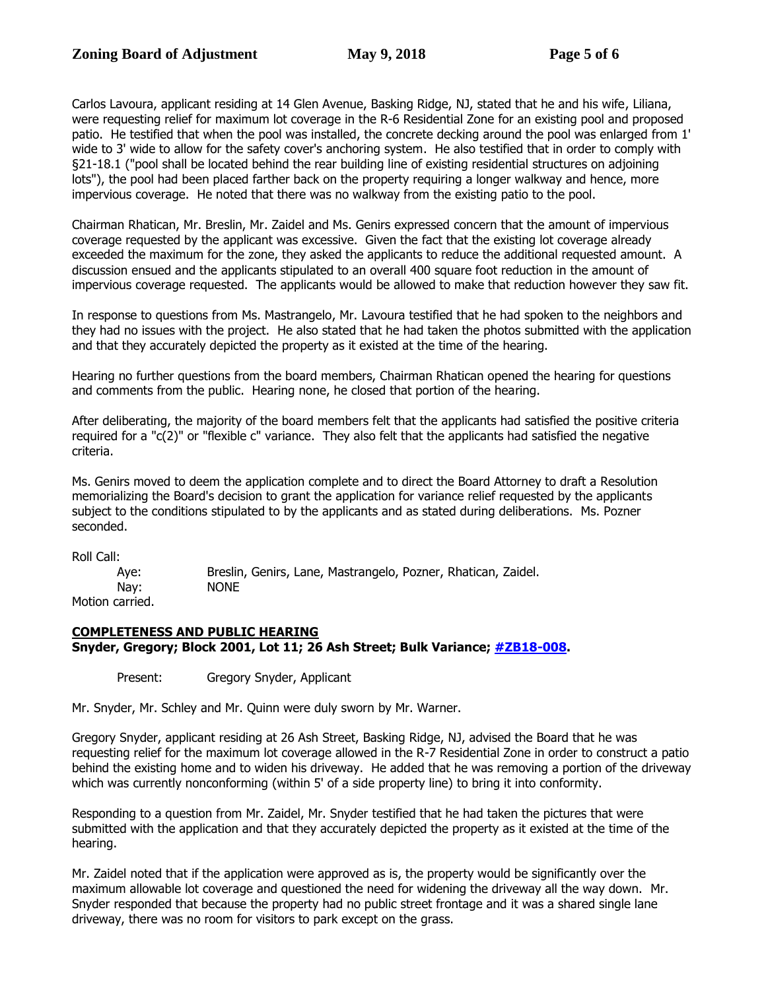Carlos Lavoura, applicant residing at 14 Glen Avenue, Basking Ridge, NJ, stated that he and his wife, Liliana, were requesting relief for maximum lot coverage in the R-6 Residential Zone for an existing pool and proposed patio. He testified that when the pool was installed, the concrete decking around the pool was enlarged from 1' wide to 3' wide to allow for the safety cover's anchoring system. He also testified that in order to comply with §21-18.1 ("pool shall be located behind the rear building line of existing residential structures on adjoining lots"), the pool had been placed farther back on the property requiring a longer walkway and hence, more impervious coverage. He noted that there was no walkway from the existing patio to the pool.

Chairman Rhatican, Mr. Breslin, Mr. Zaidel and Ms. Genirs expressed concern that the amount of impervious coverage requested by the applicant was excessive. Given the fact that the existing lot coverage already exceeded the maximum for the zone, they asked the applicants to reduce the additional requested amount. A discussion ensued and the applicants stipulated to an overall 400 square foot reduction in the amount of impervious coverage requested. The applicants would be allowed to make that reduction however they saw fit.

In response to questions from Ms. Mastrangelo, Mr. Lavoura testified that he had spoken to the neighbors and they had no issues with the project. He also stated that he had taken the photos submitted with the application and that they accurately depicted the property as it existed at the time of the hearing.

Hearing no further questions from the board members, Chairman Rhatican opened the hearing for questions and comments from the public. Hearing none, he closed that portion of the hearing.

After deliberating, the majority of the board members felt that the applicants had satisfied the positive criteria required for a "c(2)" or "flexible c" variance. They also felt that the applicants had satisfied the negative criteria.

Ms. Genirs moved to deem the application complete and to direct the Board Attorney to draft a Resolution memorializing the Board's decision to grant the application for variance relief requested by the applicants subject to the conditions stipulated to by the applicants and as stated during deliberations. Ms. Pozner seconded.

Roll Call:

Aye: Breslin, Genirs, Lane, Mastrangelo, Pozner, Rhatican, Zaidel. Nay: NONE Motion carried.

# **COMPLETENESS AND PUBLIC HEARING Snyder, Gregory; Block 2001, Lot 11; 26 Ash Street; Bulk Variance; [#ZB18-008.](http://www.bernards.org/Board%20Of%20Adjustment/Applications/2018/ZB18-008%20Snyder.pdf)**

Present: Gregory Snyder, Applicant

Mr. Snyder, Mr. Schley and Mr. Quinn were duly sworn by Mr. Warner.

Gregory Snyder, applicant residing at 26 Ash Street, Basking Ridge, NJ, advised the Board that he was requesting relief for the maximum lot coverage allowed in the R-7 Residential Zone in order to construct a patio behind the existing home and to widen his driveway. He added that he was removing a portion of the driveway which was currently nonconforming (within 5' of a side property line) to bring it into conformity.

Responding to a question from Mr. Zaidel, Mr. Snyder testified that he had taken the pictures that were submitted with the application and that they accurately depicted the property as it existed at the time of the hearing.

Mr. Zaidel noted that if the application were approved as is, the property would be significantly over the maximum allowable lot coverage and questioned the need for widening the driveway all the way down. Mr. Snyder responded that because the property had no public street frontage and it was a shared single lane driveway, there was no room for visitors to park except on the grass.